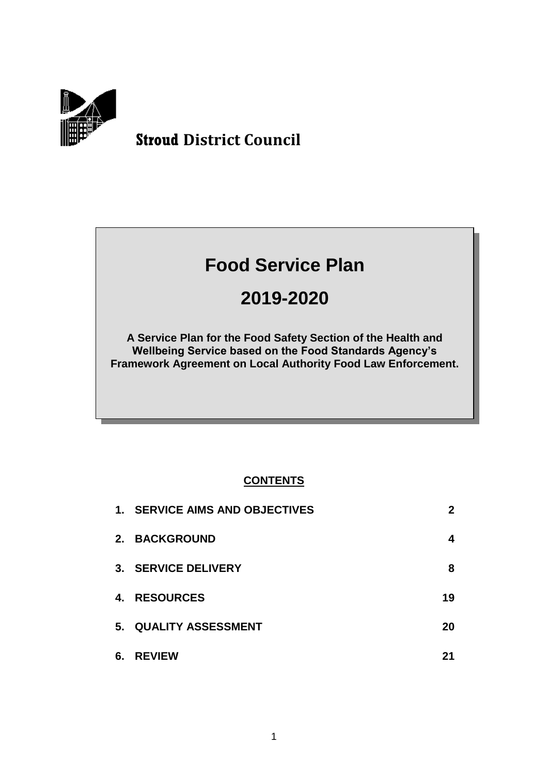

# **Stroud District Council**

# **Food Service Plan**

# **2019-2020**

**A Service Plan for the Food Safety Section of the Health and Wellbeing Service based on the Food Standards Agency's Framework Agreement on Local Authority Food Law Enforcement.**

## **CONTENTS**

|    | 1. SERVICE AIMS AND OBJECTIVES | $\mathbf{2}$ |
|----|--------------------------------|--------------|
|    | 2. BACKGROUND                  | 4            |
|    | 3. SERVICE DELIVERY            | 8            |
|    | 4. RESOURCES                   | 19           |
|    | 5. QUALITY ASSESSMENT          | 20           |
| 6. | <b>REVIEW</b>                  | 21           |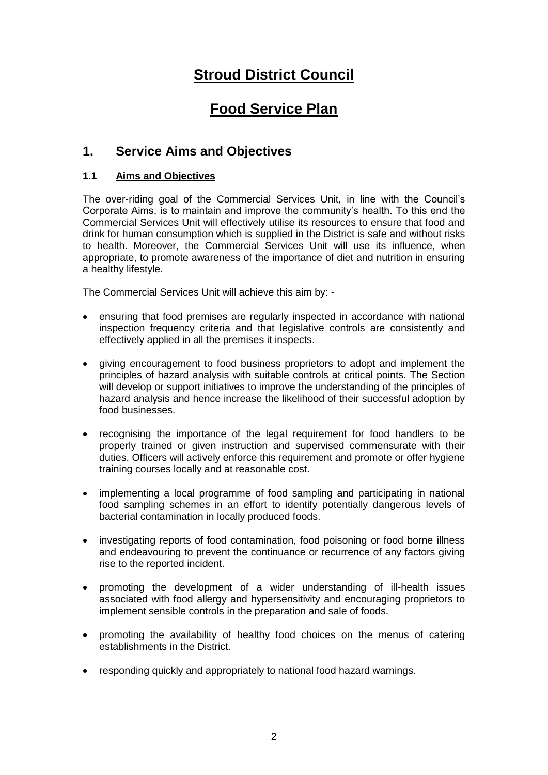# **Stroud District Council**

# **Food Service Plan**

## **1. Service Aims and Objectives**

#### **1.1 Aims and Objectives**

The over-riding goal of the Commercial Services Unit, in line with the Council's Corporate Aims, is to maintain and improve the community's health. To this end the Commercial Services Unit will effectively utilise its resources to ensure that food and drink for human consumption which is supplied in the District is safe and without risks to health. Moreover, the Commercial Services Unit will use its influence, when appropriate, to promote awareness of the importance of diet and nutrition in ensuring a healthy lifestyle.

The Commercial Services Unit will achieve this aim by: -

- ensuring that food premises are regularly inspected in accordance with national inspection frequency criteria and that legislative controls are consistently and effectively applied in all the premises it inspects.
- giving encouragement to food business proprietors to adopt and implement the principles of hazard analysis with suitable controls at critical points. The Section will develop or support initiatives to improve the understanding of the principles of hazard analysis and hence increase the likelihood of their successful adoption by food businesses.
- recognising the importance of the legal requirement for food handlers to be properly trained or given instruction and supervised commensurate with their duties. Officers will actively enforce this requirement and promote or offer hygiene training courses locally and at reasonable cost.
- implementing a local programme of food sampling and participating in national food sampling schemes in an effort to identify potentially dangerous levels of bacterial contamination in locally produced foods.
- investigating reports of food contamination, food poisoning or food borne illness and endeavouring to prevent the continuance or recurrence of any factors giving rise to the reported incident.
- promoting the development of a wider understanding of ill-health issues associated with food allergy and hypersensitivity and encouraging proprietors to implement sensible controls in the preparation and sale of foods.
- promoting the availability of healthy food choices on the menus of catering establishments in the District.
- responding quickly and appropriately to national food hazard warnings.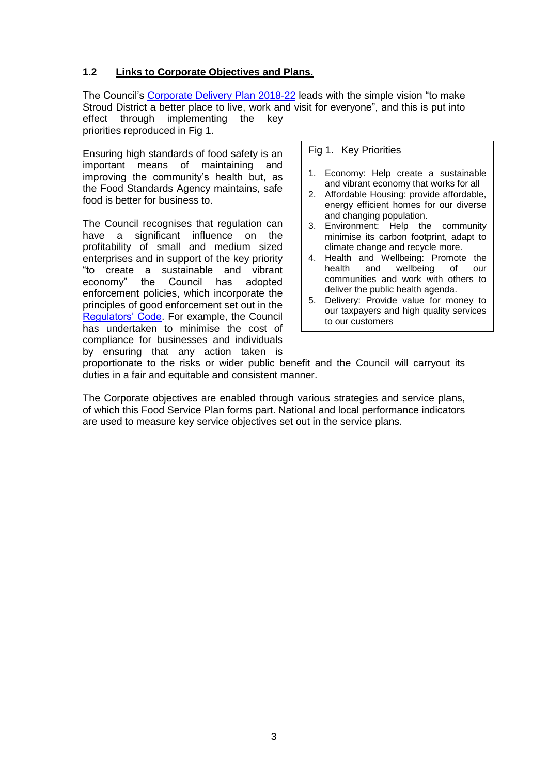#### **1.2 Links to Corporate Objectives and Plans.**

The Council's [Corporate Delivery Plan 2018-22](https://www.stroud.gov.uk/media/682656/corporate-delivery-plan-2018-22.pdf) leads with the simple vision "to make Stroud District a better place to live, work and visit for everyone", and this is put into effect through implementing the key priorities reproduced in Fig 1.

Ensuring high standards of food safety is an important means of maintaining and improving the community's health but, as the Food Standards Agency maintains, safe food is better for business to.

The Council recognises that regulation can have a significant influence on the profitability of small and medium sized enterprises and in support of the key priority "to create a sustainable and vibrant economy" the Council has adopted enforcement policies, which incorporate the principles of good enforcement set out in the [Regulators' Code.](https://www.gov.uk/government/publications/regulators-code) For example, the Council has undertaken to minimise the cost of compliance for businesses and individuals by ensuring that any action taken is

#### Fig 1. Key Priorities

- 1. Economy: Help create a sustainable and vibrant economy that works for all
- 2. Affordable Housing: provide affordable, energy efficient homes for our diverse and changing population.
- 3. Environment: Help the community minimise its carbon footprint, adapt to climate change and recycle more.
- 4. Health and Wellbeing: Promote the health and wellbeing of our communities and work with others to deliver the public health agenda.
- 5. Delivery: Provide value for money to our taxpayers and high quality services to our customers

proportionate to the risks or wider public benefit and the Council will carryout its duties in a fair and equitable and consistent manner.

The Corporate objectives are enabled through various strategies and service plans, of which this Food Service Plan forms part. National and local performance indicators are used to measure key service objectives set out in the service plans.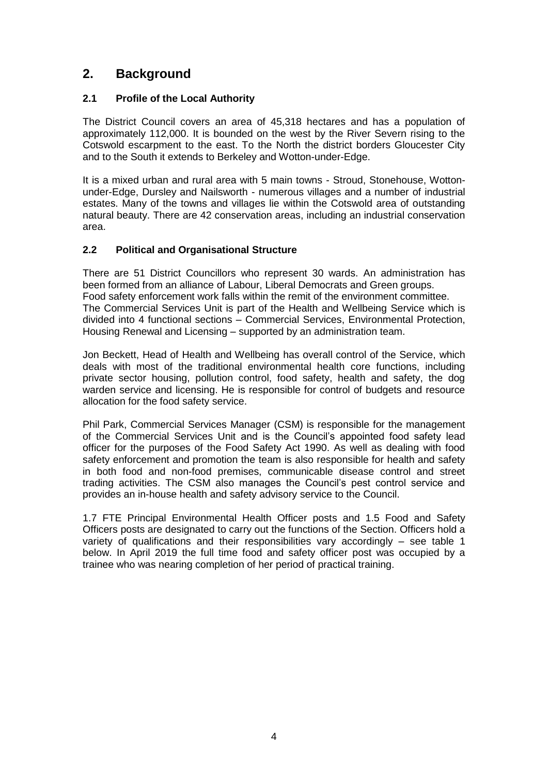# **2. Background**

#### **2.1 Profile of the Local Authority**

The District Council covers an area of 45,318 hectares and has a population of approximately 112,000. It is bounded on the west by the River Severn rising to the Cotswold escarpment to the east. To the North the district borders Gloucester City and to the South it extends to Berkeley and Wotton-under-Edge.

It is a mixed urban and rural area with 5 main towns - Stroud, Stonehouse, Wottonunder-Edge, Dursley and Nailsworth - numerous villages and a number of industrial estates. Many of the towns and villages lie within the Cotswold area of outstanding natural beauty. There are 42 conservation areas, including an industrial conservation area.

#### **2.2 Political and Organisational Structure**

There are 51 District Councillors who represent 30 wards. An administration has been formed from an alliance of Labour, Liberal Democrats and Green groups. Food safety enforcement work falls within the remit of the environment committee. The Commercial Services Unit is part of the Health and Wellbeing Service which is divided into 4 functional sections – Commercial Services, Environmental Protection, Housing Renewal and Licensing – supported by an administration team.

Jon Beckett, Head of Health and Wellbeing has overall control of the Service, which deals with most of the traditional environmental health core functions, including private sector housing, pollution control, food safety, health and safety, the dog warden service and licensing. He is responsible for control of budgets and resource allocation for the food safety service.

Phil Park, Commercial Services Manager (CSM) is responsible for the management of the Commercial Services Unit and is the Council's appointed food safety lead officer for the purposes of the Food Safety Act 1990. As well as dealing with food safety enforcement and promotion the team is also responsible for health and safety in both food and non-food premises, communicable disease control and street trading activities. The CSM also manages the Council's pest control service and provides an in-house health and safety advisory service to the Council.

1.7 FTE Principal Environmental Health Officer posts and 1.5 Food and Safety Officers posts are designated to carry out the functions of the Section. Officers hold a variety of qualifications and their responsibilities vary accordingly – see table 1 below. In April 2019 the full time food and safety officer post was occupied by a trainee who was nearing completion of her period of practical training.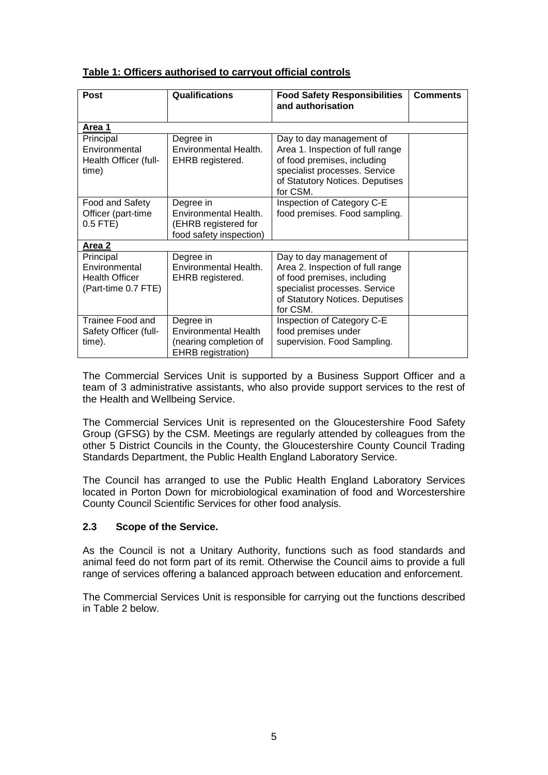#### **Table 1: Officers authorised to carryout official controls**

| <b>Post</b>                                                                | <b>Qualifications</b>                                                                    | <b>Food Safety Responsibilities</b><br>and authorisation                                                                                                                    | <b>Comments</b> |
|----------------------------------------------------------------------------|------------------------------------------------------------------------------------------|-----------------------------------------------------------------------------------------------------------------------------------------------------------------------------|-----------------|
| Area 1                                                                     |                                                                                          |                                                                                                                                                                             |                 |
| Principal<br>Environmental<br>Health Officer (full-<br>time)               | Degree in<br>Environmental Health.<br>EHRB registered.                                   | Day to day management of<br>Area 1. Inspection of full range<br>of food premises, including<br>specialist processes. Service<br>of Statutory Notices. Deputises<br>for CSM. |                 |
| Food and Safety<br>Officer (part-time<br>$0.5$ FTE)                        | Degree in<br>Environmental Health.<br>(EHRB registered for<br>food safety inspection)    | Inspection of Category C-E<br>food premises. Food sampling.                                                                                                                 |                 |
| Area 2                                                                     |                                                                                          |                                                                                                                                                                             |                 |
| Principal<br>Environmental<br><b>Health Officer</b><br>(Part-time 0.7 FTE) | Degree in<br>Environmental Health.<br>EHRB registered.                                   | Day to day management of<br>Area 2. Inspection of full range<br>of food premises, including<br>specialist processes. Service<br>of Statutory Notices. Deputises<br>for CSM. |                 |
| Trainee Food and<br>Safety Officer (full-<br>time).                        | Degree in<br><b>Environmental Health</b><br>(nearing completion of<br>EHRB registration) | Inspection of Category C-E<br>food premises under<br>supervision. Food Sampling.                                                                                            |                 |

The Commercial Services Unit is supported by a Business Support Officer and a team of 3 administrative assistants, who also provide support services to the rest of the Health and Wellbeing Service.

The Commercial Services Unit is represented on the Gloucestershire Food Safety Group (GFSG) by the CSM. Meetings are regularly attended by colleagues from the other 5 District Councils in the County, the Gloucestershire County Council Trading Standards Department, the Public Health England Laboratory Service.

The Council has arranged to use the Public Health England Laboratory Services located in Porton Down for microbiological examination of food and Worcestershire County Council Scientific Services for other food analysis.

#### **2.3 Scope of the Service.**

As the Council is not a Unitary Authority, functions such as food standards and animal feed do not form part of its remit. Otherwise the Council aims to provide a full range of services offering a balanced approach between education and enforcement.

The Commercial Services Unit is responsible for carrying out the functions described in Table 2 below.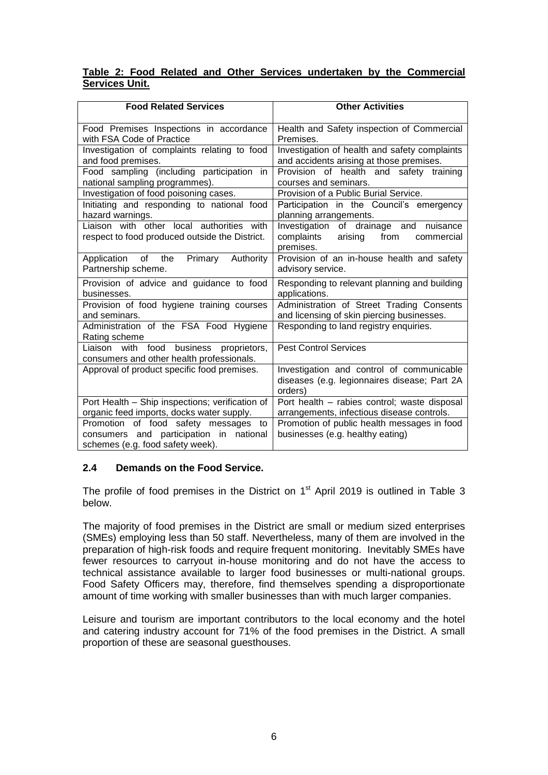#### **Table 2: Food Related and Other Services undertaken by the Commercial Services Unit.**

| <b>Food Related Services</b>                                                                                           | <b>Other Activities</b>                                                                               |
|------------------------------------------------------------------------------------------------------------------------|-------------------------------------------------------------------------------------------------------|
| Food Premises Inspections in accordance<br>with FSA Code of Practice                                                   | Health and Safety inspection of Commercial<br>Premises.                                               |
| Investigation of complaints relating to food<br>and food premises.                                                     | Investigation of health and safety complaints<br>and accidents arising at those premises.             |
| Food sampling (including participation<br><i>in</i><br>national sampling programmes).                                  | Provision of health and safety training<br>courses and seminars.                                      |
| Investigation of food poisoning cases.                                                                                 | Provision of a Public Burial Service.                                                                 |
| Initiating and responding to national food<br>hazard warnings.                                                         | Participation in the Council's emergency<br>planning arrangements.                                    |
| Liaison with other local authorities with<br>respect to food produced outside the District.                            | Investigation of drainage and<br>nuisance<br>complaints<br>arising<br>from<br>commercial<br>premises. |
| Application of the<br>Primary<br>Authority<br>Partnership scheme.                                                      | Provision of an in-house health and safety<br>advisory service.                                       |
| Provision of advice and guidance to food<br>businesses.                                                                | Responding to relevant planning and building<br>applications.                                         |
| Provision of food hygiene training courses<br>and seminars.                                                            | Administration of Street Trading Consents<br>and licensing of skin piercing businesses.               |
| Administration of the FSA Food Hygiene<br>Rating scheme                                                                | Responding to land registry enquiries.                                                                |
| Liaison with<br>food business proprietors,<br>consumers and other health professionals.                                | <b>Pest Control Services</b>                                                                          |
| Approval of product specific food premises.                                                                            | Investigation and control of communicable<br>diseases (e.g. legionnaires disease; Part 2A<br>orders)  |
| Port Health - Ship inspections; verification of<br>organic feed imports, docks water supply.                           | Port health - rabies control; waste disposal<br>arrangements, infectious disease controls.            |
| Promotion of food safety messages<br>to<br>consumers and participation in national<br>schemes (e.g. food safety week). | Promotion of public health messages in food<br>businesses (e.g. healthy eating)                       |

#### **2.4 Demands on the Food Service.**

The profile of food premises in the District on  $1<sup>st</sup>$  April 2019 is outlined in Table 3 below.

The majority of food premises in the District are small or medium sized enterprises (SMEs) employing less than 50 staff. Nevertheless, many of them are involved in the preparation of high-risk foods and require frequent monitoring. Inevitably SMEs have fewer resources to carryout in-house monitoring and do not have the access to technical assistance available to larger food businesses or multi-national groups. Food Safety Officers may, therefore, find themselves spending a disproportionate amount of time working with smaller businesses than with much larger companies.

Leisure and tourism are important contributors to the local economy and the hotel and catering industry account for 71% of the food premises in the District. A small proportion of these are seasonal guesthouses.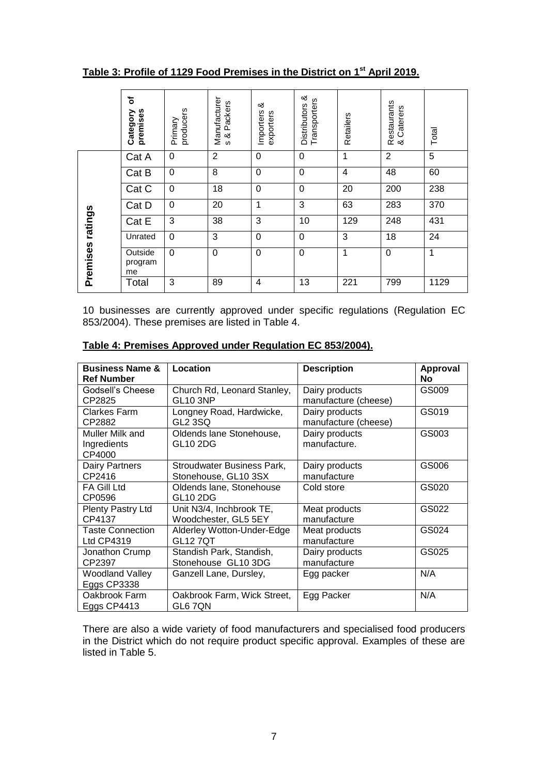**Table 3: Profile of 1129 Food Premises in the District on 1st April 2019.**

|          | ð<br>premises<br>Category | producers<br>Primary | Manufacturer<br>Packers<br>s & | య<br>Importers<br>exporters | య<br>Transporters<br><b>Distributors</b> | Retailers | Restaurants<br>& Caterers<br>Caterers | Total |
|----------|---------------------------|----------------------|--------------------------------|-----------------------------|------------------------------------------|-----------|---------------------------------------|-------|
|          | Cat A                     | $\mathbf 0$          | $\overline{2}$                 | $\Omega$                    | 0                                        | 1         | $\overline{2}$                        | 5     |
|          | Cat B                     | $\mathbf 0$          | 8                              | $\Omega$                    | 0                                        | 4         | 48                                    | 60    |
|          | Cat C                     | $\mathbf 0$          | 18                             | $\Omega$                    | $\Omega$                                 | 20        | 200                                   | 238   |
|          | Cat D                     | $\mathbf 0$          | 20                             | 1                           | 3                                        | 63        | 283                                   | 370   |
| ratings  | Cat E                     | 3                    | 38                             | 3                           | 10                                       | 129       | 248                                   | 431   |
|          | Unrated                   | $\mathbf 0$          | 3                              | $\Omega$                    | $\Omega$                                 | 3         | 18                                    | 24    |
| Premises | Outside<br>program<br>me  | 0                    | 0                              | $\Omega$                    | 0                                        | 1         | 0                                     | 1     |
|          | Total                     | 3                    | 89                             | $\overline{4}$              | 13                                       | 221       | 799                                   | 1129  |

10 businesses are currently approved under specific regulations (Regulation EC 853/2004). These premises are listed in Table 4.

| <b>Business Name &amp;</b><br><b>Ref Number</b> | Location                               | <b>Description</b>             | Approval<br>No |
|-------------------------------------------------|----------------------------------------|--------------------------------|----------------|
| Godsell's Cheese                                | Church Rd, Leonard Stanley,            | Dairy products                 | GS009          |
| CP2825                                          | <b>GL10 3NP</b>                        | manufacture (cheese)           |                |
| Clarkes Farm                                    | Longney Road, Hardwicke,               | Dairy products                 | GS019          |
| CP2882                                          | <b>GL2 3SQ</b>                         | manufacture (cheese)           |                |
| Muller Milk and<br>Ingredients<br>CP4000        | Oldends lane Stonehouse,<br>GL10 2DG   | Dairy products<br>manufacture. | GS003          |
| Dairy Partners                                  | Stroudwater Business Park,             | Dairy products                 | GS006          |
| CP2416                                          | Stonehouse, GL10 3SX                   | manufacture                    |                |
| FA Gill Ltd<br>CP0596                           | Oldends lane, Stonehouse<br>GL10 2DG   | Cold store                     | GS020          |
| Plenty Pastry Ltd                               | Unit N3/4, Inchbrook TE,               | Meat products                  | GS022          |
| CP4137                                          | Woodchester, GL5 5EY                   | manufacture                    |                |
| <b>Taste Connection</b>                         | Alderley Wotton-Under-Edge             | Meat products                  | GS024          |
| Ltd CP4319                                      | <b>GL12 7QT</b>                        | manufacture                    |                |
| Jonathon Crump                                  | Standish Park, Standish,               | Dairy products                 | GS025          |
| CP2397                                          | Stonehouse GL10 3DG                    | manufacture                    |                |
| <b>Woodland Valley</b><br>Eggs CP3338           | Ganzell Lane, Dursley,                 | Egg packer                     | N/A            |
| Oakbrook Farm<br>Eggs CP4413                    | Oakbrook Farm, Wick Street,<br>GL6 7QN | Egg Packer                     | N/A            |

#### **Table 4: Premises Approved under Regulation EC 853/2004).**

There are also a wide variety of food manufacturers and specialised food producers in the District which do not require product specific approval. Examples of these are listed in Table 5.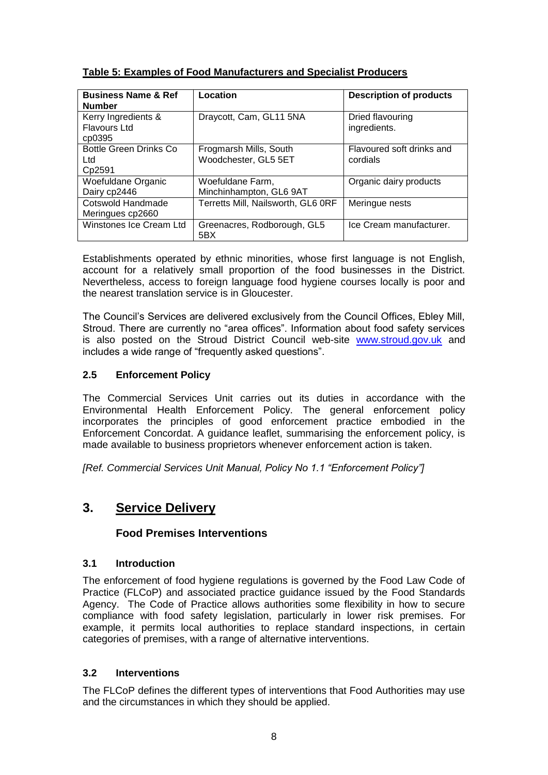| <b>Business Name &amp; Ref</b><br><b>Number</b>      | Location                                       | <b>Description of products</b>        |
|------------------------------------------------------|------------------------------------------------|---------------------------------------|
| Kerry Ingredients &<br><b>Flavours Ltd</b><br>cp0395 | Draycott, Cam, GL11 5NA                        | Dried flavouring<br>ingredients.      |
| <b>Bottle Green Drinks Co</b><br>Ltd<br>Cp2591       | Frogmarsh Mills, South<br>Woodchester, GL5 5ET | Flavoured soft drinks and<br>cordials |
| Woefuldane Organic<br>Dairy cp2446                   | Woefuldane Farm,<br>Minchinhampton, GL6 9AT    | Organic dairy products                |
| Cotswold Handmade<br>Meringues cp2660                | Terretts Mill, Nailsworth, GL6 0RF             | Meringue nests                        |
| Winstones Ice Cream Ltd                              | Greenacres, Rodborough, GL5<br>5BX             | Ice Cream manufacturer.               |

#### **Table 5: Examples of Food Manufacturers and Specialist Producers**

Establishments operated by ethnic minorities, whose first language is not English, account for a relatively small proportion of the food businesses in the District. Nevertheless, access to foreign language food hygiene courses locally is poor and the nearest translation service is in Gloucester.

The Council's Services are delivered exclusively from the Council Offices, Ebley Mill, Stroud. There are currently no "area offices". Information about food safety services is also posted on the Stroud District Council web-site [www.stroud.gov.uk](http://www.stroud.gov.uk/) and includes a wide range of "frequently asked questions".

#### **2.5 Enforcement Policy**

The Commercial Services Unit carries out its duties in accordance with the Environmental Health Enforcement Policy. The general enforcement policy incorporates the principles of good enforcement practice embodied in the Enforcement Concordat. A guidance leaflet, summarising the enforcement policy, is made available to business proprietors whenever enforcement action is taken.

*[Ref. Commercial Services Unit Manual, Policy No 1.1 "Enforcement Policy"]*

### **3. Service Delivery**

#### **Food Premises Interventions**

#### **3.1 Introduction**

The enforcement of food hygiene regulations is governed by the Food Law Code of Practice (FLCoP) and associated practice guidance issued by the Food Standards Agency. The Code of Practice allows authorities some flexibility in how to secure compliance with food safety legislation, particularly in lower risk premises. For example, it permits local authorities to replace standard inspections, in certain categories of premises, with a range of alternative interventions.

#### **3.2 Interventions**

The FLCoP defines the different types of interventions that Food Authorities may use and the circumstances in which they should be applied.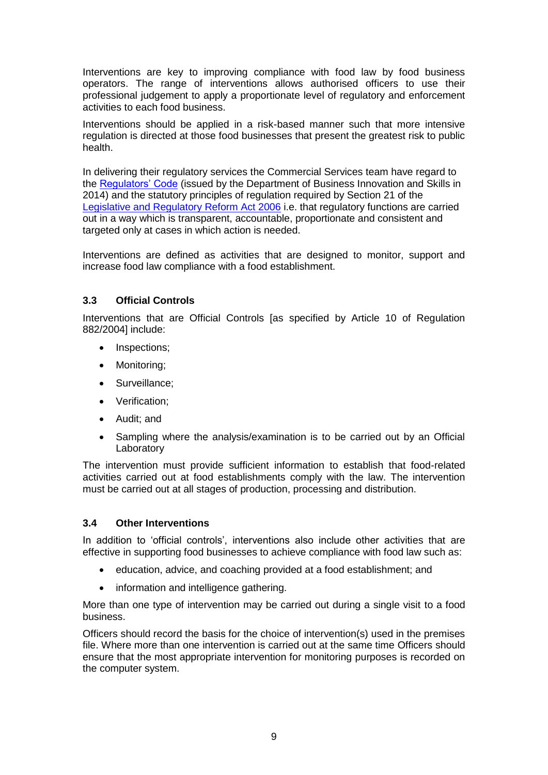Interventions are key to improving compliance with food law by food business operators. The range of interventions allows authorised officers to use their professional judgement to apply a proportionate level of regulatory and enforcement activities to each food business.

Interventions should be applied in a risk-based manner such that more intensive regulation is directed at those food businesses that present the greatest risk to public health.

In delivering their regulatory services the Commercial Services team have regard to the [Regulators' Code](https://assets.publishing.service.gov.uk/government/uploads/system/uploads/attachment_data/file/300126/14-705-regulators-code.pdf) (issued by the Department of Business Innovation and Skills in 2014) and the statutory principles of regulation required by Section 21 of the [Legislative and Regulatory Reform Act 2006](http://www.legislation.gov.uk/ukpga/2006/51/pdfs/ukpga_20060051_en.pdf) i.e. that regulatory functions are carried out in a way which is transparent, accountable, proportionate and consistent and targeted only at cases in which action is needed.

Interventions are defined as activities that are designed to monitor, support and increase food law compliance with a food establishment.

#### **3.3 Official Controls**

Interventions that are Official Controls [as specified by Article 10 of Regulation 882/2004] include:

- Inspections;
- Monitoring;
- Surveillance;
- Verification:
- Audit: and
- Sampling where the analysis/examination is to be carried out by an Official Laboratory

The intervention must provide sufficient information to establish that food-related activities carried out at food establishments comply with the law. The intervention must be carried out at all stages of production, processing and distribution.

#### **3.4 Other Interventions**

In addition to 'official controls', interventions also include other activities that are effective in supporting food businesses to achieve compliance with food law such as:

- education, advice, and coaching provided at a food establishment; and
- information and intelligence gathering.

More than one type of intervention may be carried out during a single visit to a food business.

Officers should record the basis for the choice of intervention(s) used in the premises file. Where more than one intervention is carried out at the same time Officers should ensure that the most appropriate intervention for monitoring purposes is recorded on the computer system.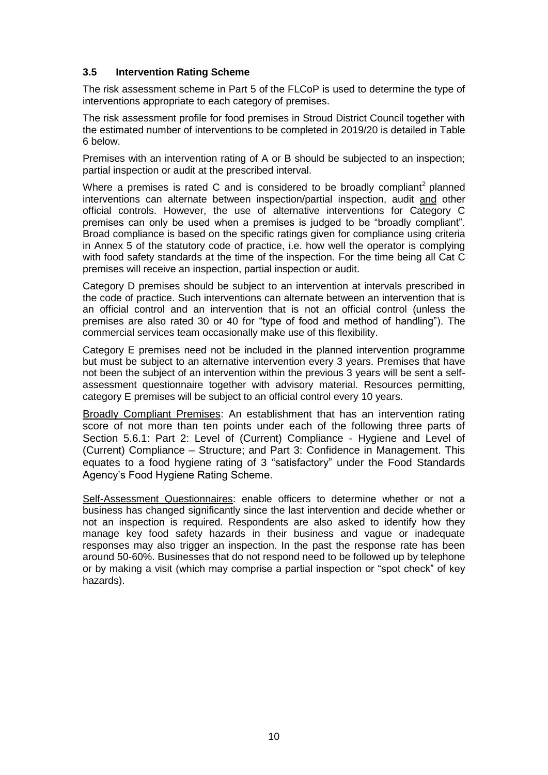#### **3.5 Intervention Rating Scheme**

The risk assessment scheme in Part 5 of the FLCoP is used to determine the type of interventions appropriate to each category of premises.

The risk assessment profile for food premises in Stroud District Council together with the estimated number of interventions to be completed in 2019/20 is detailed in Table 6 below.

Premises with an intervention rating of A or B should be subjected to an inspection; partial inspection or audit at the prescribed interval.

Where a premises is rated C and is considered to be broadly compliant<sup>2</sup> planned interventions can alternate between inspection/partial inspection, audit and other official controls. However, the use of alternative interventions for Category C premises can only be used when a premises is judged to be "broadly compliant". Broad compliance is based on the specific ratings given for compliance using criteria in Annex 5 of the statutory code of practice, i.e. how well the operator is complying with food safety standards at the time of the inspection. For the time being all Cat C premises will receive an inspection, partial inspection or audit.

Category D premises should be subject to an intervention at intervals prescribed in the code of practice. Such interventions can alternate between an intervention that is an official control and an intervention that is not an official control (unless the premises are also rated 30 or 40 for "type of food and method of handling"). The commercial services team occasionally make use of this flexibility.

Category E premises need not be included in the planned intervention programme but must be subject to an alternative intervention every 3 years. Premises that have not been the subject of an intervention within the previous 3 years will be sent a selfassessment questionnaire together with advisory material. Resources permitting, category E premises will be subject to an official control every 10 years.

Broadly Compliant Premises: An establishment that has an intervention rating score of not more than ten points under each of the following three parts of Section 5.6.1: Part 2: Level of (Current) Compliance - Hygiene and Level of (Current) Compliance – Structure; and Part 3: Confidence in Management. This equates to a food hygiene rating of 3 "satisfactory" under the Food Standards Agency's Food Hygiene Rating Scheme.

Self-Assessment Questionnaires: enable officers to determine whether or not a business has changed significantly since the last intervention and decide whether or not an inspection is required. Respondents are also asked to identify how they manage key food safety hazards in their business and vague or inadequate responses may also trigger an inspection. In the past the response rate has been around 50-60%. Businesses that do not respond need to be followed up by telephone or by making a visit (which may comprise a partial inspection or "spot check" of key hazards).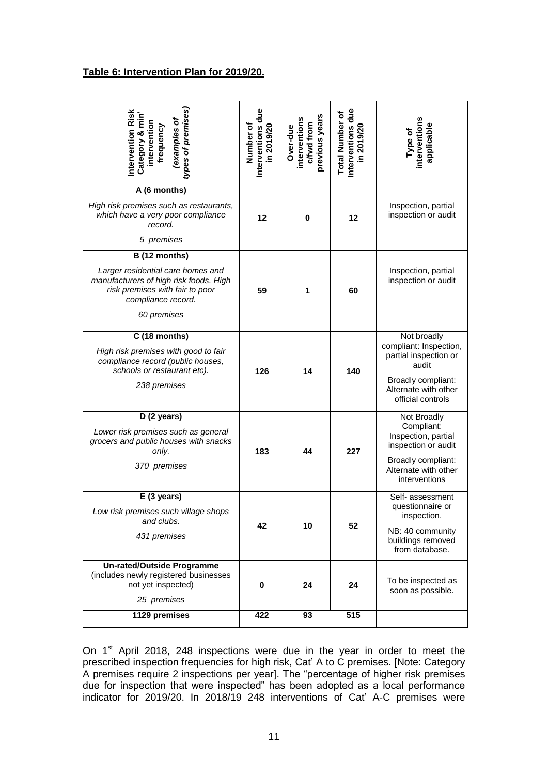#### **Table 6: Intervention Plan for 2019/20.**

| types of premises,<br>Intervention Risk<br>Category & min'<br>examples of<br>intervention<br>frequency                                                               | Interventions due<br>Number of<br>in 2019/20 | previous years<br>interventions<br>c/fwd from<br>Over-due | Interventions due<br><b>Total Number of</b><br>in 2019/20 | interventions<br>applicable<br>Type of                                                                                                     |
|----------------------------------------------------------------------------------------------------------------------------------------------------------------------|----------------------------------------------|-----------------------------------------------------------|-----------------------------------------------------------|--------------------------------------------------------------------------------------------------------------------------------------------|
| A (6 months)<br>High risk premises such as restaurants,<br>which have a very poor compliance<br>record.<br>5 premises                                                | 12                                           | $\mathbf 0$                                               | 12                                                        | Inspection, partial<br>inspection or audit                                                                                                 |
| B (12 months)<br>Larger residential care homes and<br>manufacturers of high risk foods. High<br>risk premises with fair to poor<br>compliance record.<br>60 premises | 59                                           | 1                                                         | 60                                                        | Inspection, partial<br>inspection or audit                                                                                                 |
| C (18 months)<br>High risk premises with good to fair<br>compliance record (public houses,<br>schools or restaurant etc).<br>238 premises                            | 126                                          | 14                                                        | 140                                                       | Not broadly<br>compliant: Inspection,<br>partial inspection or<br>audit<br>Broadly compliant:<br>Alternate with other<br>official controls |
| D (2 years)<br>Lower risk premises such as general<br>grocers and public houses with snacks<br>only.<br>370 premises                                                 | 183                                          | 44                                                        | 227                                                       | Not Broadly<br>Compliant:<br>Inspection, partial<br>inspection or audit<br>Broadly compliant:<br>Alternate with other<br>interventions     |
| $E(3 \text{ years})$<br>Low risk premises such village shops<br>and clubs.<br>431 premises                                                                           | 42                                           | 10                                                        | 52                                                        | Self- assessment<br>questionnaire or<br>inspection.<br>NB: 40 community<br>buildings removed<br>from database.                             |
| <b>Un-rated/Outside Programme</b><br>(includes newly registered businesses<br>not yet inspected)<br>25 premises                                                      | 0                                            | 24                                                        | 24                                                        | To be inspected as<br>soon as possible.                                                                                                    |
| 1129 premises                                                                                                                                                        | 422                                          | 93                                                        | 515                                                       |                                                                                                                                            |

On  $1<sup>st</sup>$  April 2018, 248 inspections were due in the year in order to meet the prescribed inspection frequencies for high risk, Cat' A to C premises. [Note: Category A premises require 2 inspections per year]. The "percentage of higher risk premises due for inspection that were inspected" has been adopted as a local performance indicator for 2019/20. In 2018/19 248 interventions of Cat' A-C premises were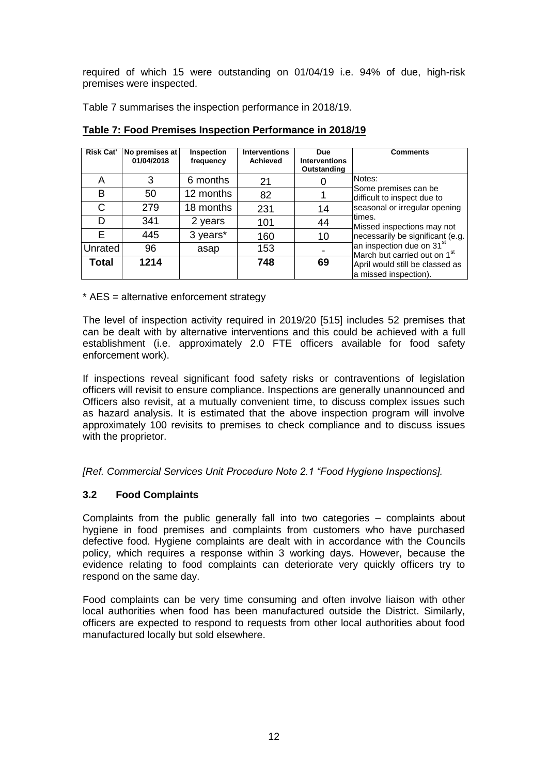required of which 15 were outstanding on 01/04/19 i.e. 94% of due, high-risk premises were inspected.

Table 7 summarises the inspection performance in 2018/19.

| <b>Risk Cat'</b> | No premises at<br>01/04/2018 | <b>Inspection</b><br>frequency | <b>Interventions</b><br><b>Achieved</b> | <b>Due</b><br><b>Interventions</b><br>Outstanding | <b>Comments</b>                                                                      |
|------------------|------------------------------|--------------------------------|-----------------------------------------|---------------------------------------------------|--------------------------------------------------------------------------------------|
| А                | 3                            | 6 months                       | 21                                      |                                                   | Notes:                                                                               |
| B                | 50                           | 12 months                      | 82                                      |                                                   | Some premises can be<br>difficult to inspect due to                                  |
| С                | 279                          | 18 months                      | 231                                     | 14                                                | seasonal or irregular opening                                                        |
| D                | 341                          | 2 years                        | 101                                     | 44                                                | times.<br>Missed inspections may not                                                 |
| F                | 445                          | 3 years*                       | 160                                     | 10                                                | necessarily be significant (e.g.                                                     |
| Unrated          | 96                           | asap                           | 153                                     |                                                   | an inspection due on 31 <sup>st</sup><br>$M$ arch but carried out on 1 <sup>st</sup> |
| Total            | 1214                         |                                | 748                                     | 69                                                | April would still be classed as<br>a missed inspection).                             |

**Table 7: Food Premises Inspection Performance in 2018/19**

\* AES = alternative enforcement strategy

The level of inspection activity required in 2019/20 [515] includes 52 premises that can be dealt with by alternative interventions and this could be achieved with a full establishment (i.e. approximately 2.0 FTE officers available for food safety enforcement work).

If inspections reveal significant food safety risks or contraventions of legislation officers will revisit to ensure compliance. Inspections are generally unannounced and Officers also revisit, at a mutually convenient time, to discuss complex issues such as hazard analysis. It is estimated that the above inspection program will involve approximately 100 revisits to premises to check compliance and to discuss issues with the proprietor.

*[Ref. Commercial Services Unit Procedure Note 2.1 "Food Hygiene Inspections].*

#### **3.2 Food Complaints**

Complaints from the public generally fall into two categories – complaints about hygiene in food premises and complaints from customers who have purchased defective food. Hygiene complaints are dealt with in accordance with the Councils policy, which requires a response within 3 working days. However, because the evidence relating to food complaints can deteriorate very quickly officers try to respond on the same day.

Food complaints can be very time consuming and often involve liaison with other local authorities when food has been manufactured outside the District. Similarly, officers are expected to respond to requests from other local authorities about food manufactured locally but sold elsewhere.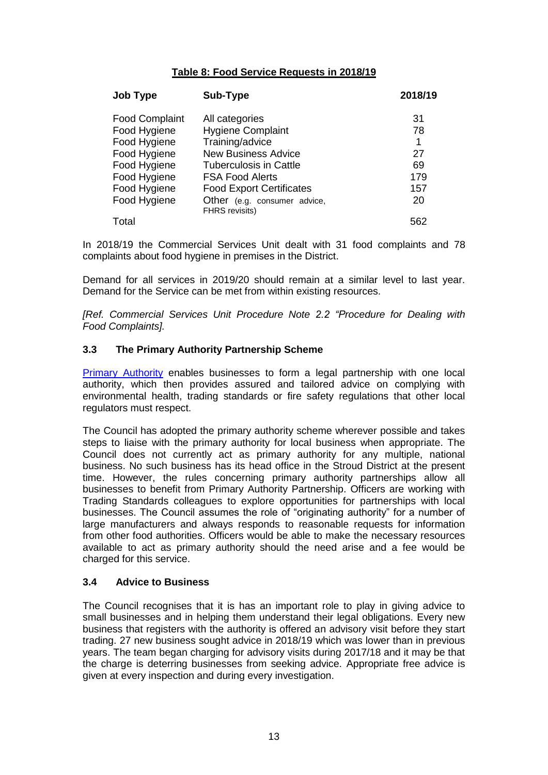#### **Table 8: Food Service Requests in 2018/19**

| <b>Job Type</b>       | Sub-Type                                              | 2018/19 |
|-----------------------|-------------------------------------------------------|---------|
| <b>Food Complaint</b> | All categories                                        | 31      |
| Food Hygiene          | <b>Hygiene Complaint</b>                              | 78      |
| Food Hygiene          | Training/advice                                       | 1       |
| Food Hygiene          | <b>New Business Advice</b>                            | 27      |
| Food Hygiene          | <b>Tuberculosis in Cattle</b>                         | 69      |
| Food Hygiene          | <b>FSA Food Alerts</b>                                | 179     |
| Food Hygiene          | <b>Food Export Certificates</b>                       | 157     |
| Food Hygiene          | Other (e.g. consumer advice,<br><b>FHRS</b> revisits) | 20      |
| Total                 |                                                       | 562     |

In 2018/19 the Commercial Services Unit dealt with 31 food complaints and 78 complaints about food hygiene in premises in the District.

Demand for all services in 2019/20 should remain at a similar level to last year. Demand for the Service can be met from within existing resources.

*[Ref. Commercial Services Unit Procedure Note 2.2 "Procedure for Dealing with Food Complaints].*

#### **3.3 The Primary Authority Partnership Scheme**

[Primary Authority](https://primary-authority.beis.gov.uk/) enables businesses to form a legal partnership with one local authority, which then provides assured and tailored advice on complying with environmental health, trading standards or fire safety regulations that other local regulators must respect.

The Council has adopted the primary authority scheme wherever possible and takes steps to liaise with the primary authority for local business when appropriate. The Council does not currently act as primary authority for any multiple, national business. No such business has its head office in the Stroud District at the present time. However, the rules concerning primary authority partnerships allow all businesses to benefit from Primary Authority Partnership. Officers are working with Trading Standards colleagues to explore opportunities for partnerships with local businesses. The Council assumes the role of "originating authority" for a number of large manufacturers and always responds to reasonable requests for information from other food authorities. Officers would be able to make the necessary resources available to act as primary authority should the need arise and a fee would be charged for this service.

#### **3.4 Advice to Business**

The Council recognises that it is has an important role to play in giving advice to small businesses and in helping them understand their legal obligations. Every new business that registers with the authority is offered an advisory visit before they start trading. 27 new business sought advice in 2018/19 which was lower than in previous years. The team began charging for advisory visits during 2017/18 and it may be that the charge is deterring businesses from seeking advice. Appropriate free advice is given at every inspection and during every investigation.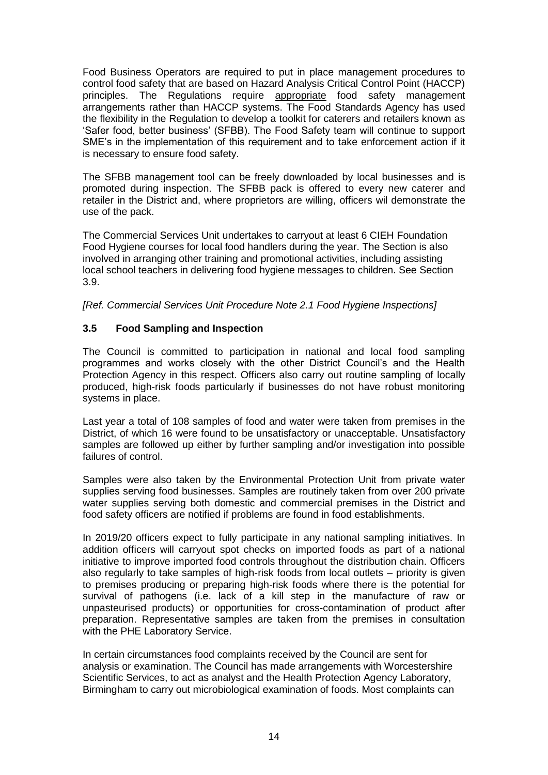Food Business Operators are required to put in place management procedures to control food safety that are based on Hazard Analysis Critical Control Point (HACCP) principles. The Regulations require appropriate food safety management arrangements rather than HACCP systems. The Food Standards Agency has used the flexibility in the Regulation to develop a toolkit for caterers and retailers known as 'Safer food, better business' (SFBB). The Food Safety team will continue to support SME's in the implementation of this requirement and to take enforcement action if it is necessary to ensure food safety.

The SFBB management tool can be freely downloaded by local businesses and is promoted during inspection. The SFBB pack is offered to every new caterer and retailer in the District and, where proprietors are willing, officers wil demonstrate the use of the pack.

The Commercial Services Unit undertakes to carryout at least 6 CIEH Foundation Food Hygiene courses for local food handlers during the year. The Section is also involved in arranging other training and promotional activities, including assisting local school teachers in delivering food hygiene messages to children. See Section 3.9.

*[Ref. Commercial Services Unit Procedure Note 2.1 Food Hygiene Inspections]*

#### **3.5 Food Sampling and Inspection**

The Council is committed to participation in national and local food sampling programmes and works closely with the other District Council's and the Health Protection Agency in this respect. Officers also carry out routine sampling of locally produced, high-risk foods particularly if businesses do not have robust monitoring systems in place.

Last year a total of 108 samples of food and water were taken from premises in the District, of which 16 were found to be unsatisfactory or unacceptable. Unsatisfactory samples are followed up either by further sampling and/or investigation into possible failures of control.

Samples were also taken by the Environmental Protection Unit from private water supplies serving food businesses. Samples are routinely taken from over 200 private water supplies serving both domestic and commercial premises in the District and food safety officers are notified if problems are found in food establishments.

In 2019/20 officers expect to fully participate in any national sampling initiatives. In addition officers will carryout spot checks on imported foods as part of a national initiative to improve imported food controls throughout the distribution chain. Officers also regularly to take samples of high-risk foods from local outlets – priority is given to premises producing or preparing high-risk foods where there is the potential for survival of pathogens (i.e. lack of a kill step in the manufacture of raw or unpasteurised products) or opportunities for cross-contamination of product after preparation. Representative samples are taken from the premises in consultation with the PHE Laboratory Service.

In certain circumstances food complaints received by the Council are sent for analysis or examination. The Council has made arrangements with Worcestershire Scientific Services, to act as analyst and the Health Protection Agency Laboratory, Birmingham to carry out microbiological examination of foods. Most complaints can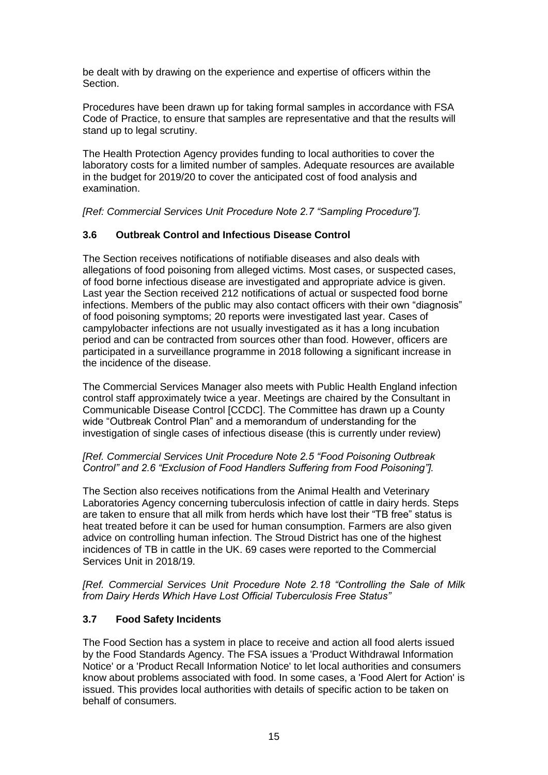be dealt with by drawing on the experience and expertise of officers within the **Section** 

Procedures have been drawn up for taking formal samples in accordance with FSA Code of Practice, to ensure that samples are representative and that the results will stand up to legal scrutiny.

The Health Protection Agency provides funding to local authorities to cover the laboratory costs for a limited number of samples. Adequate resources are available in the budget for 2019/20 to cover the anticipated cost of food analysis and examination.

*[Ref: Commercial Services Unit Procedure Note 2.7 "Sampling Procedure"].*

#### **3.6 Outbreak Control and Infectious Disease Control**

The Section receives notifications of notifiable diseases and also deals with allegations of food poisoning from alleged victims. Most cases, or suspected cases, of food borne infectious disease are investigated and appropriate advice is given. Last year the Section received 212 notifications of actual or suspected food borne infections. Members of the public may also contact officers with their own "diagnosis" of food poisoning symptoms; 20 reports were investigated last year. Cases of campylobacter infections are not usually investigated as it has a long incubation period and can be contracted from sources other than food. However, officers are participated in a surveillance programme in 2018 following a significant increase in the incidence of the disease.

The Commercial Services Manager also meets with Public Health England infection control staff approximately twice a year. Meetings are chaired by the Consultant in Communicable Disease Control [CCDC]. The Committee has drawn up a County wide "Outbreak Control Plan" and a memorandum of understanding for the investigation of single cases of infectious disease (this is currently under review)

#### *[Ref. Commercial Services Unit Procedure Note 2.5 "Food Poisoning Outbreak Control" and 2.6 "Exclusion of Food Handlers Suffering from Food Poisoning"].*

The Section also receives notifications from the Animal Health and Veterinary Laboratories Agency concerning tuberculosis infection of cattle in dairy herds. Steps are taken to ensure that all milk from herds which have lost their "TB free" status is heat treated before it can be used for human consumption. Farmers are also given advice on controlling human infection. The Stroud District has one of the highest incidences of TB in cattle in the UK. 69 cases were reported to the Commercial Services Unit in 2018/19.

*[Ref. Commercial Services Unit Procedure Note 2.18 "Controlling the Sale of Milk from Dairy Herds Which Have Lost Official Tuberculosis Free Status"*

#### **3.7 Food Safety Incidents**

The Food Section has a system in place to receive and action all food alerts issued by the Food Standards Agency. The FSA issues a 'Product Withdrawal Information Notice' or a 'Product Recall Information Notice' to let local authorities and consumers know about problems associated with food. In some cases, a 'Food Alert for Action' is issued. This provides local authorities with details of specific action to be taken on behalf of consumers.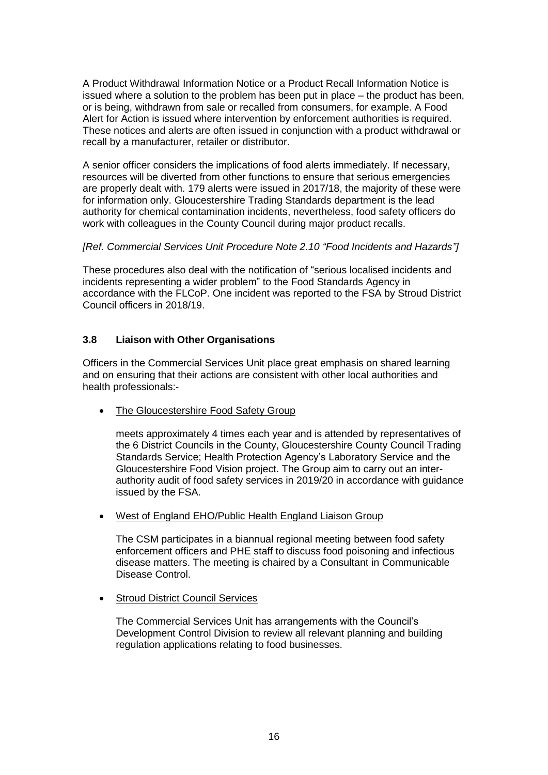A Product Withdrawal Information Notice or a Product Recall Information Notice is issued where a solution to the problem has been put in place – the product has been, or is being, withdrawn from sale or recalled from consumers, for example. A Food Alert for Action is issued where intervention by enforcement authorities is required. These notices and alerts are often issued in conjunction with a product withdrawal or recall by a manufacturer, retailer or distributor.

A senior officer considers the implications of food alerts immediately. If necessary, resources will be diverted from other functions to ensure that serious emergencies are properly dealt with. 179 alerts were issued in 2017/18, the majority of these were for information only. Gloucestershire Trading Standards department is the lead authority for chemical contamination incidents, nevertheless, food safety officers do work with colleagues in the County Council during major product recalls.

#### *[Ref. Commercial Services Unit Procedure Note 2.10 "Food Incidents and Hazards"]*

These procedures also deal with the notification of "serious localised incidents and incidents representing a wider problem" to the Food Standards Agency in accordance with the FLCoP. One incident was reported to the FSA by Stroud District Council officers in 2018/19.

#### **3.8 Liaison with Other Organisations**

Officers in the Commercial Services Unit place great emphasis on shared learning and on ensuring that their actions are consistent with other local authorities and health professionals:-

The Gloucestershire Food Safety Group

meets approximately 4 times each year and is attended by representatives of the 6 District Councils in the County, Gloucestershire County Council Trading Standards Service; Health Protection Agency's Laboratory Service and the Gloucestershire Food Vision project. The Group aim to carry out an interauthority audit of food safety services in 2019/20 in accordance with guidance issued by the FSA.

West of England EHO/Public Health England Liaison Group

The CSM participates in a biannual regional meeting between food safety enforcement officers and PHE staff to discuss food poisoning and infectious disease matters. The meeting is chaired by a Consultant in Communicable Disease Control.

• Stroud District Council Services

The Commercial Services Unit has arrangements with the Council's Development Control Division to review all relevant planning and building regulation applications relating to food businesses.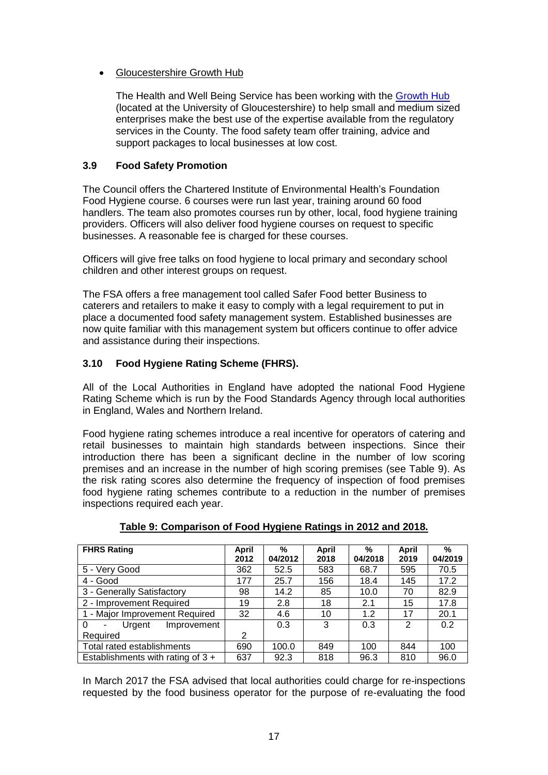#### • Gloucestershire Growth Hub

The Health and Well Being Service has been working with the [Growth Hub](https://www.thegrowthhub.biz/) (located at the University of Gloucestershire) to help small and medium sized enterprises make the best use of the expertise available from the regulatory services in the County. The food safety team offer training, advice and support packages to local businesses at low cost.

#### **3.9 Food Safety Promotion**

The Council offers the Chartered Institute of Environmental Health's Foundation Food Hygiene course. 6 courses were run last year, training around 60 food handlers. The team also promotes courses run by other, local, food hygiene training providers. Officers will also deliver food hygiene courses on request to specific businesses. A reasonable fee is charged for these courses.

Officers will give free talks on food hygiene to local primary and secondary school children and other interest groups on request.

The FSA offers a free management tool called Safer Food better Business to caterers and retailers to make it easy to comply with a legal requirement to put in place a documented food safety management system. Established businesses are now quite familiar with this management system but officers continue to offer advice and assistance during their inspections.

#### **3.10 Food Hygiene Rating Scheme (FHRS).**

All of the Local Authorities in England have adopted the national Food Hygiene Rating Scheme which is run by the Food Standards Agency through local authorities in England, Wales and Northern Ireland.

Food hygiene rating schemes introduce a real incentive for operators of catering and retail businesses to maintain high standards between inspections. Since their introduction there has been a significant decline in the number of low scoring premises and an increase in the number of high scoring premises (see Table 9). As the risk rating scores also determine the frequency of inspection of food premises food hygiene rating schemes contribute to a reduction in the number of premises inspections required each year.

| <b>FHRS Rating</b>                  | April | %       | April | %       | April          | $\%$    |
|-------------------------------------|-------|---------|-------|---------|----------------|---------|
|                                     | 2012  | 04/2012 | 2018  | 04/2018 | 2019           | 04/2019 |
| 5 - Very Good                       | 362   | 52.5    | 583   | 68.7    | 595            | 70.5    |
| 4 - Good                            | 177   | 25.7    | 156   | 18.4    | 145            | 17.2    |
| 3 - Generally Satisfactory          | 98    | 14.2    | 85    | 10.0    | 70             | 82.9    |
| 2 - Improvement Required            | 19    | 2.8     | 18    | 2.1     | 15             | 17.8    |
| 1 - Major Improvement Required      | 32    | 4.6     | 10    | 1.2     | 17             | 20.1    |
| 0<br>Urgent<br>Improvement<br>٠     |       | 0.3     | 3     | 0.3     | $\overline{2}$ | 0.2     |
| Required                            | 2     |         |       |         |                |         |
| Total rated establishments          | 690   | 100.0   | 849   | 100     | 844            | 100     |
| Establishments with rating of $3 +$ | 637   | 92.3    | 818   | 96.3    | 810            | 96.0    |

#### **Table 9: Comparison of Food Hygiene Ratings in 2012 and 2018.**

In March 2017 the FSA advised that local authorities could charge for re-inspections requested by the food business operator for the purpose of re-evaluating the food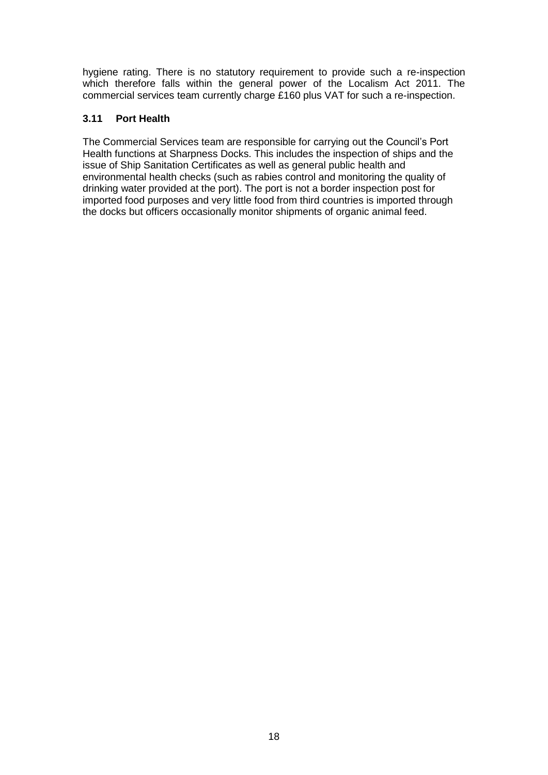hygiene rating. There is no statutory requirement to provide such a re-inspection which therefore falls within the general power of the Localism Act 2011. The commercial services team currently charge £160 plus VAT for such a re-inspection.

#### **3.11 Port Health**

The Commercial Services team are responsible for carrying out the Council's Port Health functions at Sharpness Docks. This includes the inspection of ships and the issue of Ship Sanitation Certificates as well as general public health and environmental health checks (such as rabies control and monitoring the quality of drinking water provided at the port). The port is not a border inspection post for imported food purposes and very little food from third countries is imported through the docks but officers occasionally monitor shipments of organic animal feed.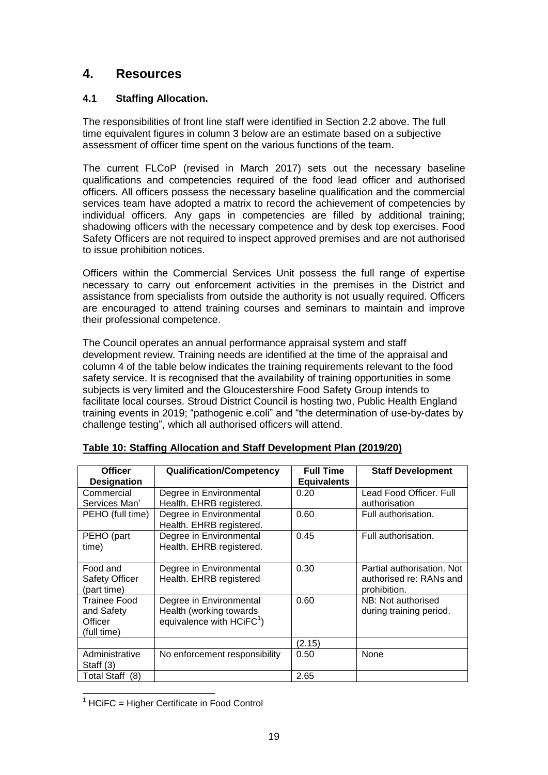## **4. Resources**

#### **4.1 Staffing Allocation.**

The responsibilities of front line staff were identified in Section 2.2 above. The full time equivalent figures in column 3 below are an estimate based on a subjective assessment of officer time spent on the various functions of the team.

The current FLCoP (revised in March 2017) sets out the necessary baseline qualifications and competencies required of the food lead officer and authorised officers. All officers possess the necessary baseline qualification and the commercial services team have adopted a matrix to record the achievement of competencies by individual officers. Any gaps in competencies are filled by additional training; shadowing officers with the necessary competence and by desk top exercises. Food Safety Officers are not required to inspect approved premises and are not authorised to issue prohibition notices.

Officers within the Commercial Services Unit possess the full range of expertise necessary to carry out enforcement activities in the premises in the District and assistance from specialists from outside the authority is not usually required. Officers are encouraged to attend training courses and seminars to maintain and improve their professional competence.

The Council operates an annual performance appraisal system and staff development review. Training needs are identified at the time of the appraisal and column 4 of the table below indicates the training requirements relevant to the food safety service. It is recognised that the availability of training opportunities in some subjects is very limited and the Gloucestershire Food Safety Group intends to facilitate local courses. Stroud District Council is hosting two, Public Health England training events in 2019; "pathogenic e.coli" and "the determination of use-by-dates by challenge testing", which all authorised officers will attend.

| <b>Officer</b>            | <b>Qualification/Competency</b> | <b>Full Time</b>   | <b>Staff Development</b>   |
|---------------------------|---------------------------------|--------------------|----------------------------|
| <b>Designation</b>        |                                 | <b>Equivalents</b> |                            |
| Commercial                | Degree in Environmental         | 0.20               | Lead Food Officer. Full    |
| Services Man'             | Health. EHRB registered.        |                    | authorisation              |
| PEHO (full time)          | Degree in Environmental         | 0.60               | Full authorisation.        |
|                           | Health. EHRB registered.        |                    |                            |
| PEHO (part                | Degree in Environmental         | 0.45               | Full authorisation.        |
| time)                     | Health. EHRB registered.        |                    |                            |
|                           |                                 |                    |                            |
| Food and                  | Degree in Environmental         | 0.30               | Partial authorisation. Not |
| <b>Safety Officer</b>     | Health. EHRB registered         |                    | authorised re: RANs and    |
| (part time)               |                                 |                    | prohibition.               |
| Trainee Food              | Degree in Environmental         | 0.60               | NB: Not authorised         |
| and Safety                | Health (working towards         |                    | during training period.    |
| Officer                   | equivalence with $HClFC1$ )     |                    |                            |
| (full time)               |                                 |                    |                            |
|                           |                                 | (2.15)             |                            |
| Administrative            | No enforcement responsibility   | 0.50               | None                       |
| Staff $(3)$               |                                 |                    |                            |
| <b>Total Staff</b><br>(8) |                                 | 2.65               |                            |

#### **Table 10: Staffing Allocation and Staff Development Plan (2019/20)**

  $1$  HCiFC = Higher Certificate in Food Control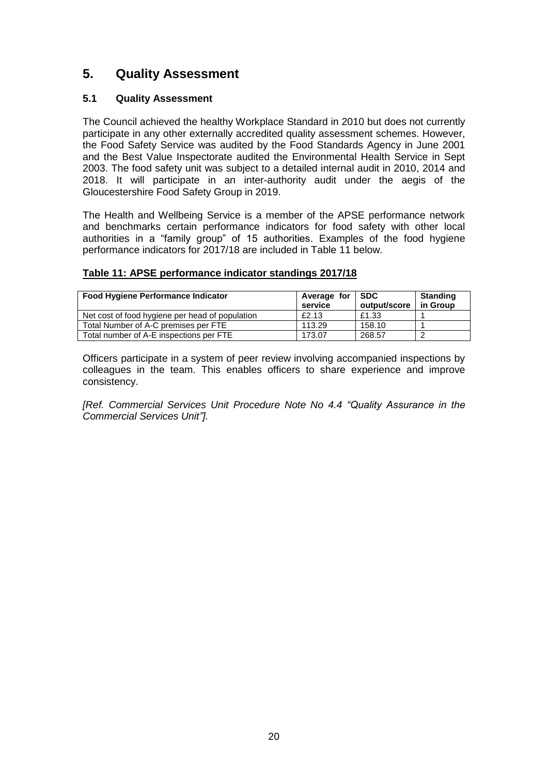# **5. Quality Assessment**

#### **5.1 Quality Assessment**

The Council achieved the healthy Workplace Standard in 2010 but does not currently participate in any other externally accredited quality assessment schemes. However, the Food Safety Service was audited by the Food Standards Agency in June 2001 and the Best Value Inspectorate audited the Environmental Health Service in Sept 2003. The food safety unit was subject to a detailed internal audit in 2010, 2014 and 2018. It will participate in an inter-authority audit under the aegis of the Gloucestershire Food Safety Group in 2019.

The Health and Wellbeing Service is a member of the APSE performance network and benchmarks certain performance indicators for food safety with other local authorities in a "family group" of 15 authorities. Examples of the food hygiene performance indicators for 2017/18 are included in Table 11 below.

#### **Table 11: APSE performance indicator standings 2017/18**

| <b>Food Hygiene Performance Indicator</b>       | Average for<br>service | I SDC<br>output/score | <b>Standing</b><br>in Group |
|-------------------------------------------------|------------------------|-----------------------|-----------------------------|
| Net cost of food hygiene per head of population | £2.13                  | £1.33                 |                             |
| Total Number of A-C premises per FTE            | 113.29                 | 158.10                |                             |
| Total number of A-E inspections per FTE         | 173.07                 | 268.57                |                             |

Officers participate in a system of peer review involving accompanied inspections by colleagues in the team. This enables officers to share experience and improve consistency.

*[Ref. Commercial Services Unit Procedure Note No 4.4 "Quality Assurance in the Commercial Services Unit"].*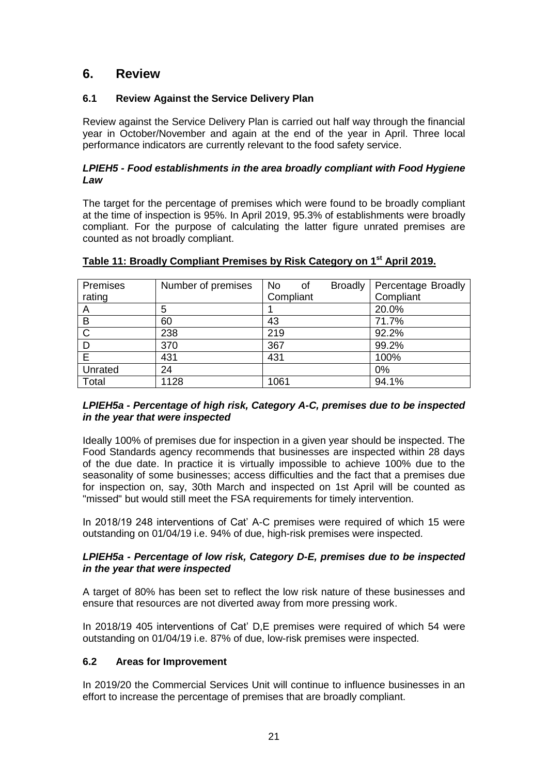### **6. Review**

#### **6.1 Review Against the Service Delivery Plan**

Review against the Service Delivery Plan is carried out half way through the financial year in October/November and again at the end of the year in April. Three local performance indicators are currently relevant to the food safety service.

#### *LPIEH5 - Food establishments in the area broadly compliant with Food Hygiene Law*

The target for the percentage of premises which were found to be broadly compliant at the time of inspection is 95%. In April 2019, 95.3% of establishments were broadly compliant. For the purpose of calculating the latter figure unrated premises are counted as not broadly compliant.

| Premises     | Number of premises | <b>No</b><br>0f | <b>Broadly</b> | Percentage Broadly |
|--------------|--------------------|-----------------|----------------|--------------------|
| rating       |                    | Compliant       |                | Compliant          |
| A            | 5                  |                 |                | 20.0%              |
| B            | 60                 | 43              |                | 71.7%              |
| $\mathsf{C}$ | 238                | 219             |                | 92.2%              |
|              | 370                | 367             |                | 99.2%              |
| E            | 431                | 431             |                | 100%               |
| Unrated      | 24                 |                 |                | 0%                 |
| Total        | 1128               | 1061            |                | 94.1%              |

#### **Table 11: Broadly Compliant Premises by Risk Category on 1st April 2019.**

#### *LPIEH5a - Percentage of high risk, Category A-C, premises due to be inspected in the year that were inspected*

Ideally 100% of premises due for inspection in a given year should be inspected. The Food Standards agency recommends that businesses are inspected within 28 days of the due date. In practice it is virtually impossible to achieve 100% due to the seasonality of some businesses; access difficulties and the fact that a premises due for inspection on, say, 30th March and inspected on 1st April will be counted as "missed" but would still meet the FSA requirements for timely intervention.

In 2018/19 248 interventions of Cat' A-C premises were required of which 15 were outstanding on 01/04/19 i.e. 94% of due, high-risk premises were inspected.

#### *LPIEH5a - Percentage of low risk, Category D-E, premises due to be inspected in the year that were inspected*

A target of 80% has been set to reflect the low risk nature of these businesses and ensure that resources are not diverted away from more pressing work.

In 2018/19 405 interventions of Cat' D,E premises were required of which 54 were outstanding on 01/04/19 i.e. 87% of due, low-risk premises were inspected.

#### **6.2 Areas for Improvement**

In 2019/20 the Commercial Services Unit will continue to influence businesses in an effort to increase the percentage of premises that are broadly compliant.